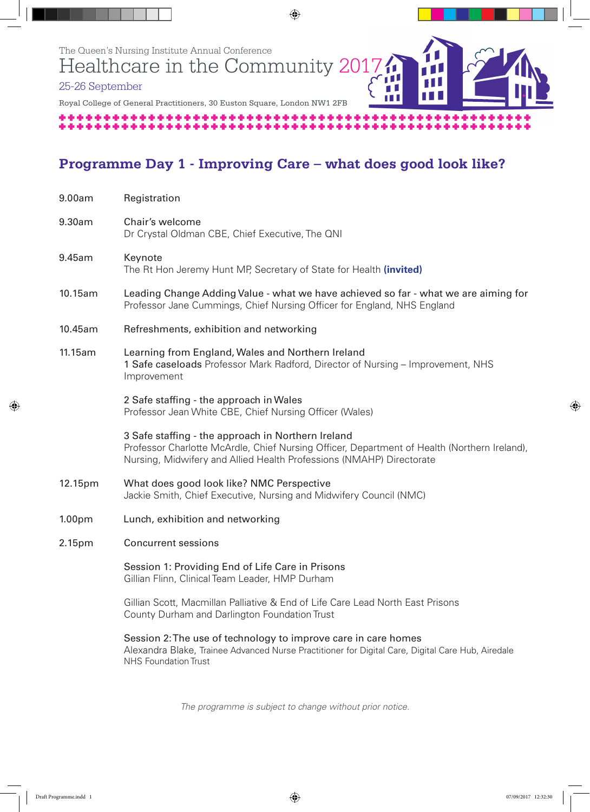

# **Programme Day 1 - Improving Care – what does good look like?**

| 9.00am  | Registration                                                                                                                                                                                                               |
|---------|----------------------------------------------------------------------------------------------------------------------------------------------------------------------------------------------------------------------------|
| 9.30am  | Chair's welcome<br>Dr Crystal Oldman CBE, Chief Executive, The QNI                                                                                                                                                         |
| 9.45am  | Keynote<br>The Rt Hon Jeremy Hunt MP, Secretary of State for Health (invited)                                                                                                                                              |
| 10.15am | Leading Change Adding Value - what we have achieved so far - what we are aiming for<br>Professor Jane Cummings, Chief Nursing Officer for England, NHS England                                                             |
| 10.45am | Refreshments, exhibition and networking                                                                                                                                                                                    |
| 11.15am | Learning from England, Wales and Northern Ireland<br>1 Safe caseloads Professor Mark Radford, Director of Nursing – Improvement, NHS<br>Improvement                                                                        |
|         | 2 Safe staffing - the approach in Wales<br>Professor Jean White CBE, Chief Nursing Officer (Wales)                                                                                                                         |
|         | 3 Safe staffing - the approach in Northern Ireland<br>Professor Charlotte McArdle, Chief Nursing Officer, Department of Health (Northern Ireland),<br>Nursing, Midwifery and Allied Health Professions (NMAHP) Directorate |
| 12.15pm | What does good look like? NMC Perspective<br>Jackie Smith, Chief Executive, Nursing and Midwifery Council (NMC)                                                                                                            |
| 1.00pm  | Lunch, exhibition and networking                                                                                                                                                                                           |
| 2.15pm  | <b>Concurrent sessions</b>                                                                                                                                                                                                 |
|         | Session 1: Providing End of Life Care in Prisons<br>Gillian Flinn, Clinical Team Leader, HMP Durham                                                                                                                        |
|         | Gillian Scott, Macmillan Palliative & End of Life Care Lead North East Prisons<br>County Durham and Darlington Foundation Trust                                                                                            |
|         | Session 2: The use of technology to improve care in care homes<br>Alexandra Blake, Trainee Advanced Nurse Practitioner for Digital Care, Digital Care Hub, Airedale<br><b>NHS Foundation Trust</b>                         |
|         |                                                                                                                                                                                                                            |

*The programme is subject to change without prior notice.*

◈

 $\bigoplus$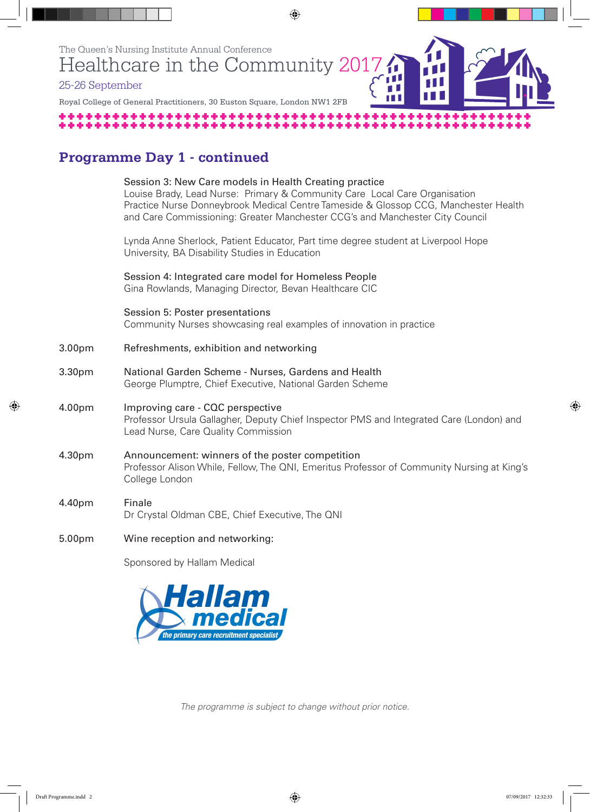

## **Programme Day 1 - continued**

|        | Session 3: New Care models in Health Creating practice<br>Louise Brady, Lead Nurse: Primary & Community Care Local Care Organisation<br>Practice Nurse Donneybrook Medical Centre Tameside & Glossop CCG, Manchester Health<br>and Care Commissioning: Greater Manchester CCG's and Manchester City Council |
|--------|-------------------------------------------------------------------------------------------------------------------------------------------------------------------------------------------------------------------------------------------------------------------------------------------------------------|
|        | Lynda Anne Sherlock, Patient Educator, Part time degree student at Liverpool Hope<br>University, BA Disability Studies in Education                                                                                                                                                                         |
|        | Session 4: Integrated care model for Homeless People<br>Gina Rowlands, Managing Director, Bevan Healthcare CIC                                                                                                                                                                                              |
|        | Session 5: Poster presentations<br>Community Nurses showcasing real examples of innovation in practice                                                                                                                                                                                                      |
| 3.00pm | Refreshments, exhibition and networking                                                                                                                                                                                                                                                                     |
| 3.30pm | National Garden Scheme - Nurses, Gardens and Health<br>George Plumptre, Chief Executive, National Garden Scheme                                                                                                                                                                                             |
| 4.00pm | Improving care - CQC perspective<br>Professor Ursula Gallagher, Deputy Chief Inspector PMS and Integrated Care (London) and<br>Lead Nurse, Care Quality Commission                                                                                                                                          |
| 4.30pm | Announcement: winners of the poster competition<br>Professor Alison While, Fellow, The QNI, Emeritus Professor of Community Nursing at King's<br>College London                                                                                                                                             |
| 4.40pm | Finale<br>Dr Crystal Oldman CBE, Chief Executive, The QNI                                                                                                                                                                                                                                                   |
| 5.00pm | Wine reception and networking:                                                                                                                                                                                                                                                                              |

Sponsored by Hallam Medical



*The programme is subject to change without prior notice.*

◈

 $\bigcirc$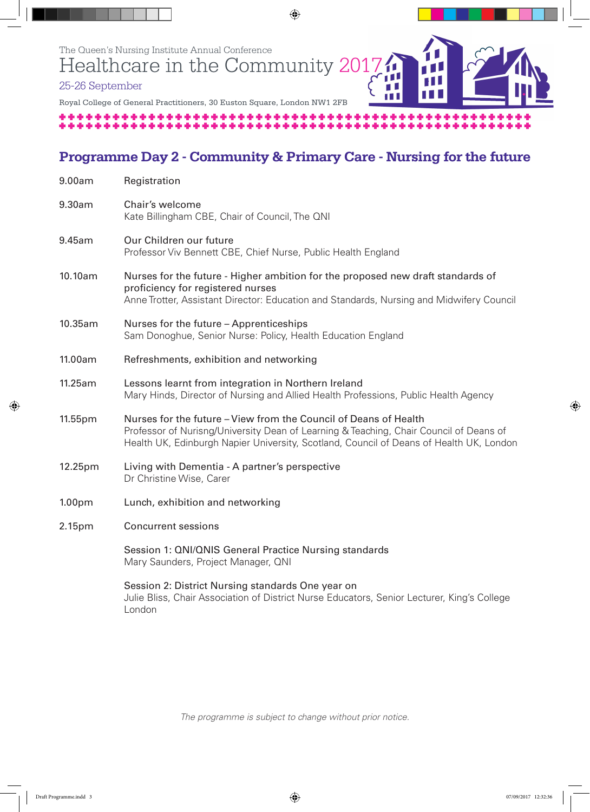

### **Programme Day 2 - Community & Primary Care - Nursing for the future**

| 9.00am             | Registration                                                                                                                                                                                                                                          |
|--------------------|-------------------------------------------------------------------------------------------------------------------------------------------------------------------------------------------------------------------------------------------------------|
| 9.30am             | Chair's welcome<br>Kate Billingham CBE, Chair of Council, The QNI                                                                                                                                                                                     |
| 9.45am             | Our Children our future<br>Professor Viv Bennett CBE, Chief Nurse, Public Health England                                                                                                                                                              |
| 10.10am            | Nurses for the future - Higher ambition for the proposed new draft standards of<br>proficiency for registered nurses<br>Anne Trotter, Assistant Director: Education and Standards, Nursing and Midwifery Council                                      |
| 10.35am            | Nurses for the future - Apprenticeships<br>Sam Donoghue, Senior Nurse: Policy, Health Education England                                                                                                                                               |
| 11.00am            | Refreshments, exhibition and networking                                                                                                                                                                                                               |
| 11.25am            | Lessons learnt from integration in Northern Ireland<br>Mary Hinds, Director of Nursing and Allied Health Professions, Public Health Agency                                                                                                            |
| 11.55pm            | Nurses for the future - View from the Council of Deans of Health<br>Professor of Nurisng/University Dean of Learning & Teaching, Chair Council of Deans of<br>Health UK, Edinburgh Napier University, Scotland, Council of Deans of Health UK, London |
| 12.25pm            | Living with Dementia - A partner's perspective<br>Dr Christine Wise, Carer                                                                                                                                                                            |
| 1.00 <sub>pm</sub> | Lunch, exhibition and networking                                                                                                                                                                                                                      |
| 2.15pm             | <b>Concurrent sessions</b>                                                                                                                                                                                                                            |
|                    | Session 1: QNI/QNIS General Practice Nursing standards<br>Mary Saunders, Project Manager, QNI                                                                                                                                                         |
|                    | Session 2: District Nursing standards One year on<br>Julie Bliss, Chair Association of District Nurse Educators, Senior Lecturer, King's College<br>London                                                                                            |

*The programme is subject to change without prior notice.*

Draft Programme.indd 3 07/09/2017 12:32:36

◈

 $\bigcirc$